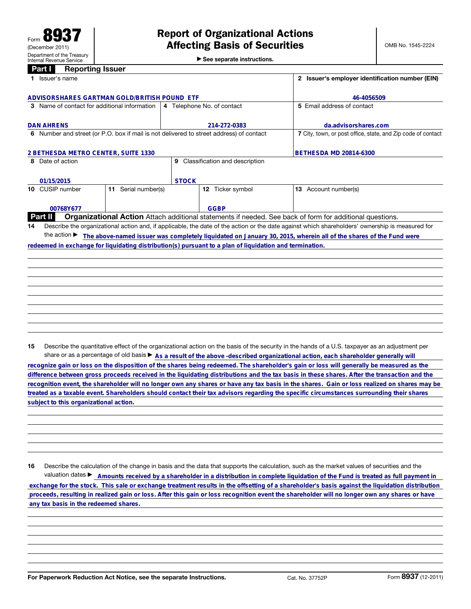▶ See separate instructions.

## **Part I** Reporting Issuer

|                                     | Issuer's name                                                                                           |   |                                                                                         | 2 Issuer's employer identification number (EIN) |                  |  |                                                                                                                                                 |  |  |
|-------------------------------------|---------------------------------------------------------------------------------------------------------|---|-----------------------------------------------------------------------------------------|-------------------------------------------------|------------------|--|-------------------------------------------------------------------------------------------------------------------------------------------------|--|--|
|                                     | ADVISORSHARES GARTMAN GOLD/BRITISH POUND ETF                                                            |   |                                                                                         | 46-4056509                                      |                  |  |                                                                                                                                                 |  |  |
|                                     | 3 Name of contact for additional information                                                            |   | 4 Telephone No. of contact                                                              |                                                 |                  |  | 5 Email address of contact                                                                                                                      |  |  |
|                                     |                                                                                                         |   |                                                                                         |                                                 |                  |  |                                                                                                                                                 |  |  |
|                                     | <b>DAN AHRENS</b>                                                                                       |   | 214-272-0383                                                                            |                                                 |                  |  | da.advisorshares.com                                                                                                                            |  |  |
|                                     |                                                                                                         |   | 6 Number and street (or P.O. box if mail is not delivered to street address) of contact |                                                 |                  |  | 7 City, town, or post office, state, and Zip code of contact                                                                                    |  |  |
|                                     |                                                                                                         |   |                                                                                         |                                                 |                  |  |                                                                                                                                                 |  |  |
| 2 BETHESDA METRO CENTER, SUITE 1330 |                                                                                                         |   |                                                                                         |                                                 |                  |  | <b>BETHESDA MD 20814-6300</b>                                                                                                                   |  |  |
|                                     | 8 Date of action                                                                                        | 9 |                                                                                         | Classification and description                  |                  |  |                                                                                                                                                 |  |  |
|                                     |                                                                                                         |   |                                                                                         |                                                 |                  |  |                                                                                                                                                 |  |  |
|                                     | 01/15/2015                                                                                              |   | <b>STOCK</b>                                                                            |                                                 |                  |  |                                                                                                                                                 |  |  |
|                                     | 11 Serial number(s)<br>10 CUSIP number                                                                  |   |                                                                                         |                                                 | 12 Ticker symbol |  | 13 Account number(s)                                                                                                                            |  |  |
|                                     |                                                                                                         |   |                                                                                         |                                                 |                  |  |                                                                                                                                                 |  |  |
|                                     | 00768Y677                                                                                               |   |                                                                                         |                                                 | <b>GGBP</b>      |  |                                                                                                                                                 |  |  |
|                                     | Part II                                                                                                 |   |                                                                                         |                                                 |                  |  | <b>Organizational Action</b> Attach additional statements if needed. See back of form for additional questions.                                 |  |  |
| 14                                  |                                                                                                         |   |                                                                                         |                                                 |                  |  | Describe the organizational action and, if applicable, the date of the action or the date against which shareholders' ownership is measured for |  |  |
|                                     |                                                                                                         |   |                                                                                         |                                                 |                  |  | the action > The above-named issuer was completely liquidated on January 30, 2015, wherein all of the shares of the Fund were                   |  |  |
|                                     | redeemed in exchange for liquidating distribution(s) pursuant to a plan of liquidation and termination. |   |                                                                                         |                                                 |                  |  |                                                                                                                                                 |  |  |
|                                     |                                                                                                         |   |                                                                                         |                                                 |                  |  |                                                                                                                                                 |  |  |
|                                     |                                                                                                         |   |                                                                                         |                                                 |                  |  |                                                                                                                                                 |  |  |
|                                     |                                                                                                         |   |                                                                                         |                                                 |                  |  |                                                                                                                                                 |  |  |
|                                     |                                                                                                         |   |                                                                                         |                                                 |                  |  |                                                                                                                                                 |  |  |
|                                     |                                                                                                         |   |                                                                                         |                                                 |                  |  |                                                                                                                                                 |  |  |
|                                     |                                                                                                         |   |                                                                                         |                                                 |                  |  |                                                                                                                                                 |  |  |

15 Describe the quantitative effect of the organizational action on the basis of the security in the hands of a U.S. taxpayer as an adjustment per

share or as a percentage of old basis  $\triangleright$  As a result of the above -described organizational action, each shareholder generally will<br>recognize gain or loss on the disposition of the shares being redeemed. The shareholde **recognition event, the shareholder will no longer own any shares or have any tax basis in the shares. Gain or loss realized on shares may be treated as a taxable event. Shareholders should contact their tax advisors regarding the specific circumstances surrounding their shares**

16 Describe the calculation of the change in basis and the data that supports the calculation, such as the market values of securities and the valuation dates ► Amounts received by a shareholder in a distribution in complete liquidation of the Fund is treated as full payment in subject to this organizational action.<br>
16 Describe the calculation of the change in basis and the data that supports the calculation, such as the market values of securities and the<br>
valuation dates ▶ \_\_\_\_\_\_\_\_\_\_\_\_\_\_\_\_\_\_\_